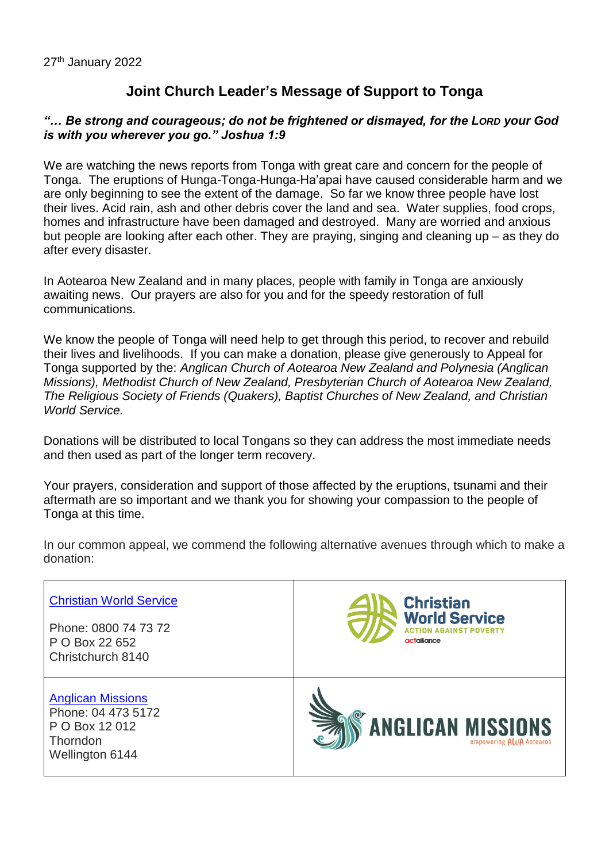## **Joint Church Leader's Message of Support to Tonga**

## *"… Be strong and courageous; do not be frightened or dismayed, for the LORD your God is with you wherever you go." Joshua 1:9*

We are watching the news reports from Tonga with great care and concern for the people of Tonga. The eruptions of Hunga-Tonga-Hunga-Ha'apai have caused considerable harm and we are only beginning to see the extent of the damage. So far we know three people have lost their lives. Acid rain, ash and other debris cover the land and sea. Water supplies, food crops, homes and infrastructure have been damaged and destroyed. Many are worried and anxious but people are looking after each other. They are praying, singing and cleaning up – as they do after every disaster.

In Aotearoa New Zealand and in many places, people with family in Tonga are anxiously awaiting news. Our prayers are also for you and for the speedy restoration of full communications.

We know the people of Tonga will need help to get through this period, to recover and rebuild their lives and livelihoods. If you can make a donation, please give generously to Appeal for Tonga supported by the: *Anglican Church of Aotearoa New Zealand and Polynesia (Anglican Missions), Methodist Church of New Zealand, Presbyterian Church of Aotearoa New Zealand, The Religious Society of Friends (Quakers), Baptist Churches of New Zealand, and Christian World Service.*

Donations will be distributed to local Tongans so they can address the most immediate needs and then used as part of the longer term recovery.

Your prayers, consideration and support of those affected by the eruptions, tsunami and their aftermath are so important and we thank you for showing your compassion to the people of Tonga at this time.

In our common appeal, we commend the following alternative avenues through which to make a donation:

| <b>Christian World Service</b>                                                                  | <b>Christian</b>                                    |
|-------------------------------------------------------------------------------------------------|-----------------------------------------------------|
| Phone: 0800 74 73 72                                                                            | <b>World Service</b>                                |
| P O Box 22 652                                                                                  | <b>AINST POVERTY</b>                                |
| Christchurch 8140                                                                               | actalliance                                         |
| <b>Anglican Missions</b><br>Phone: 04 473 5172<br>P O Box 12 012<br>Thorndon<br>Wellington 6144 | <b>ANGLICAN MISSIONS</b><br>empowering AWA Aotearoa |